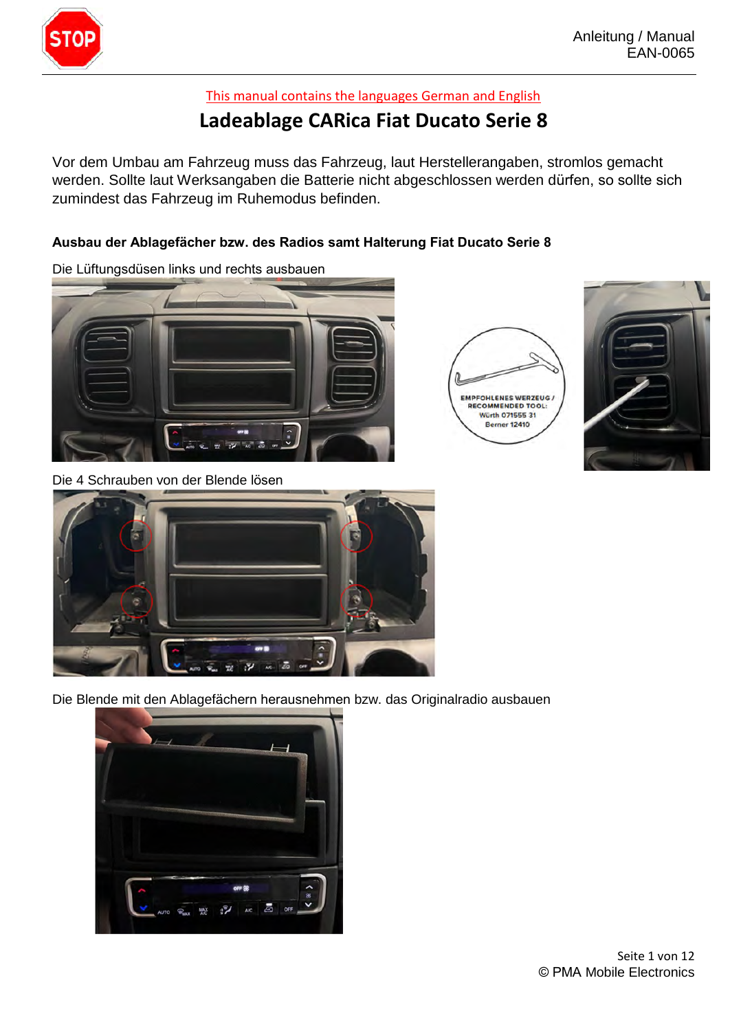

## This manual contains the languages German and English

## Ladeablage CARica Fiat Ducato Serie 8

Vor dem Umbau am Fahrzeug muss das Fahrzeug, laut Herstellerangaben, stromlos gemacht Vor dem Umbau am Fahrzeug muss das Fahrzeug, laut Herstellerangaben, stromlos gemacht<br>werden. Sollte laut Werksangaben die Batterie nicht abgeschlossen werden dürfen, so sollte sich Vor dem Umbau am Fahrzeug muss das Fahrzeug, laut Herstellerangaben, s<br>werden. Sollte laut Werksangaben die Batterie nicht abgeschlossen werden d<br>zumindest das Fahrzeug im Ruhemodus befinden.

## Ausbau der Ablagefächer bzw. des Radios samt Halterung Fiat Ducato Serie 8<br>Die Lüftungsdüsen links und rechts ausbauen



Die 4 Schrauben von der Blende lösen



Die Blende mit den Ablagefächern herausnehmen bzw. das Originalradio ausbauen





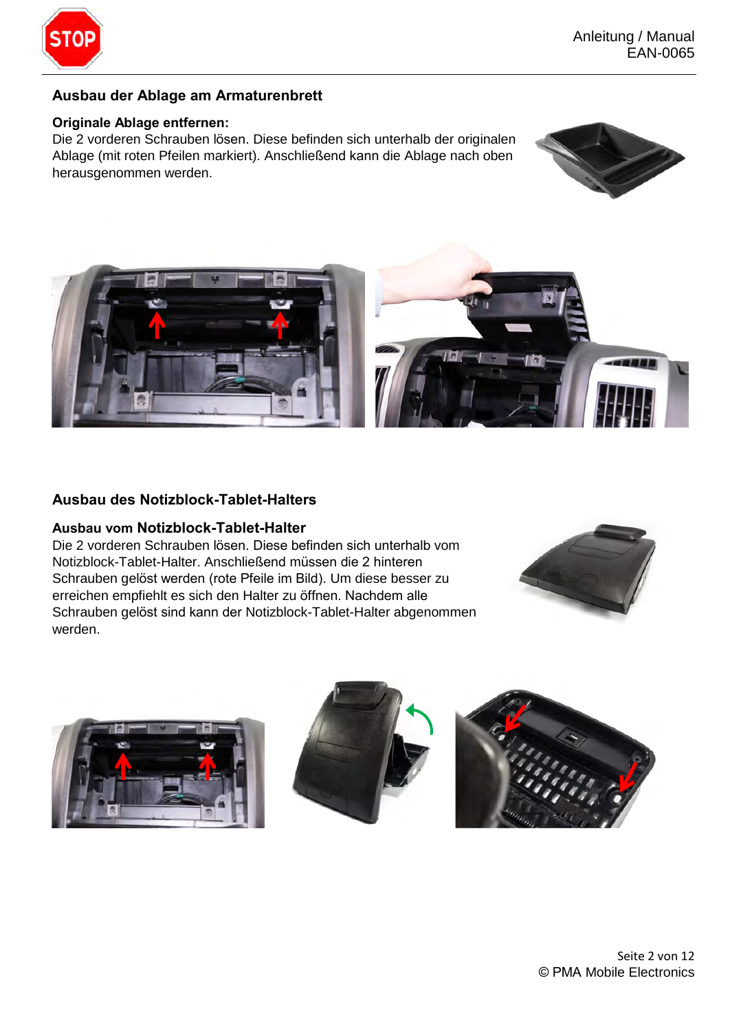

### **Ausbau der Ablage am Armaturenbrett**

Ausbau der Ablage am Armaturenbrett<br>Originale Ablage entfernen:<br>Die 2 vorderen Schrauben lösen. Diese befinden sich unterhalb der originalen <mark>Originale Ablage entfernen:</mark><br>Die 2 vorderen Schrauben lösen. Diese befinden sich unterhalb der originalen<br>Ablage (mit roten Pfeilen markiert). Anschließend kann die Ablage nach oben herausgenommen werden.





#### **Ausbau des Notizblock-Tablet-Halters**

zussen des Rom±sroch Pasion nanors<br>**Ausbau vom Notizblock-Tablet-Halter**<br>Die 2 vorderen Schrauben lösen. Diese befinden sich unterhalb vom **Ausbau vom Notizblock-Tablet-Halter**<br>Die 2 vorderen Schrauben lösen. Diese befinden sich unterhalb vor<br>Notizblock-Tablet-Halter. Anschließend müssen die 2 hinteren Notizblock-Tablet-Halter. Anschließend müssen die 2 hinteren<br>Schrauben gelöst werden (rote Pfeile im Bild). Um diese besser zu Notizblock-Tablet-Halter. Anschließend müssen die 2 hinteren<br>Schrauben gelöst werden (rote Pfeile im Bild). Um diese besser zu<br>erreichen empfiehlt es sich den Halter zu öffnen. Nachdem alle Schrauben gelöst sind kann der Notizblock-Tablet-Halter abgenommen erreichen em<br>Schrauben ge<br>werden.



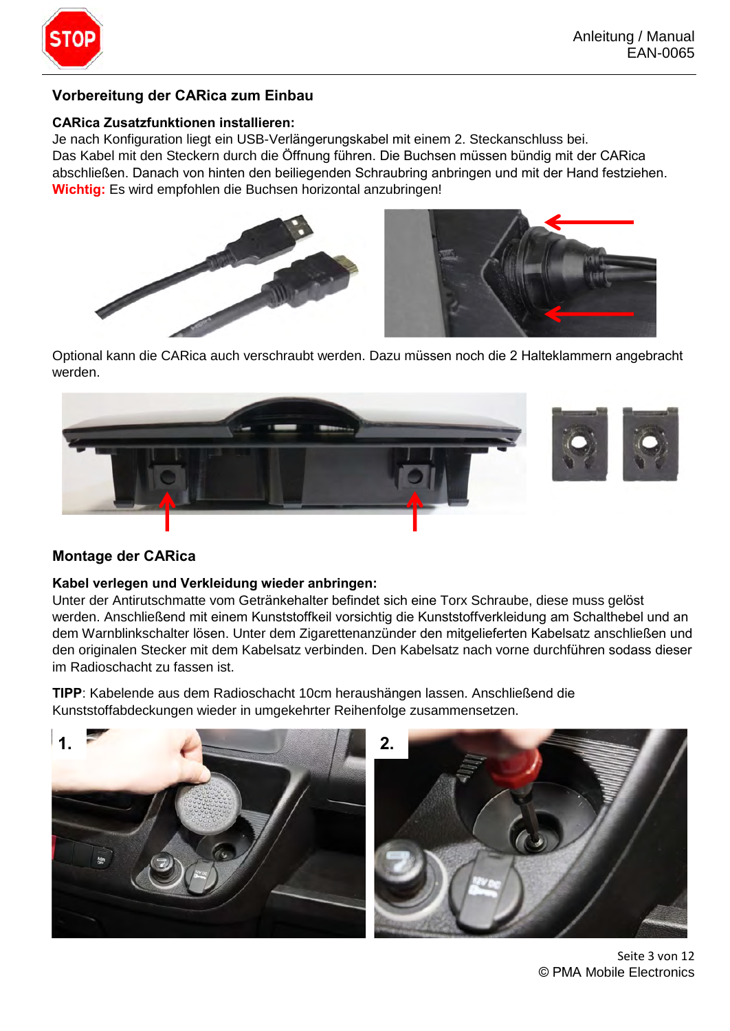

## **Vorbereitung der CARica zum Einbau**

CARica Zusatzfunktionen installieren:<br>Je nach Konfiguration liegt ein USB-Verlängerungskabel mit einem 2. Steckanschluss bei. **CARica Zusatzfunktionen installieren:**<br>Je nach Konfiguration liegt ein USB-Verlängerungskabel mit einem 2. Steckanschluss bei.<br>Das Kabel mit den Steckern durch die Öffnung führen. Die Buchsen müssen bündig mit der CARica abschlieflen. Danach von hinten den beiliegenden Schraubring anbringen und mit der Hand festziehen. Wichtig: Es wird empfohlen die Buchsen horizontal anzubringen!



Optional kann die CARica auch verschraubt werden. Dazu müssen noch die 2 Halteklammern angebracht werden.



## **Montage der CARica**

Kabel verlegen und Verkleidung wieder anbringen:<br>Unter der Antirutschmatte vom Getränkehalter befindet sich eine Torx Schraube, diese muss gelöst werden. Anschlieflend mit einem Kunststoffkeil vorsichtig die Kunststoffverkleidung am Schalthebel und an Unter der Antirutschmatte vom Getränkehalter befindet sich eine Torx Schraube, diese muss gelöst<br>werden. Anschließend mit einem Kunststoffkeil vorsichtig die Kunststoffverkleidung am Schalthebel und an<br>dem Warnblinkschalte werden. Anschließend mit einem Kunststoffkeil vorsichtig die Kunststoffverkleidung am Schalthebel und an<br>dem Warnblinkschalter lösen. Unter dem Zigarettenanzünder den mitgelieferten Kabelsatz anschließen und<br>den originalen im Radioschacht zu fassen ist. den originalen Stecker mit dem Kabelsatz verbinden. Den Kabelsatz nach vorne durchführen sodass dieser en onginalen Stecker mit dem Rabelsatz verbinden. Den Rabelsatz nach vorhe durchlunten<br>m Radioschacht zu fassen ist.<br>**1PP**: Kabelende aus dem Radioschacht 10cm heraushängen lassen. Anschließend die

Kunststoffabdeckungen wieder in umgekehrter Reihenfolge zusammensetzen.



Seite 3 von 12 © PMA Mobile Electronics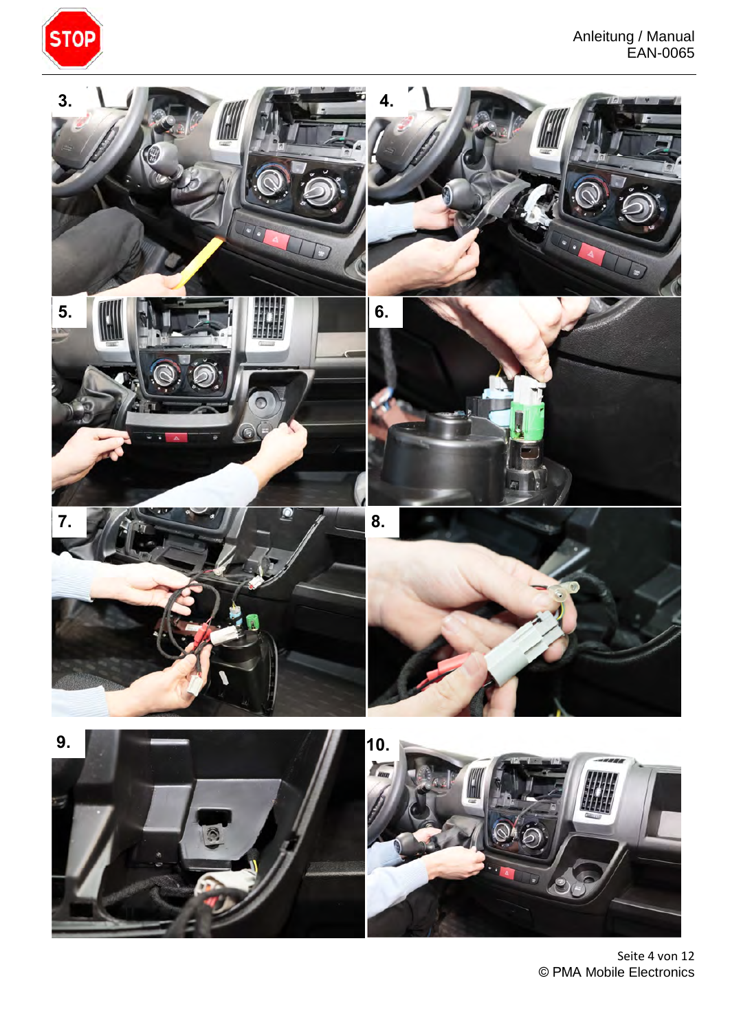



Seite 4 von 12 © PMA Mobile Electronics

© PMA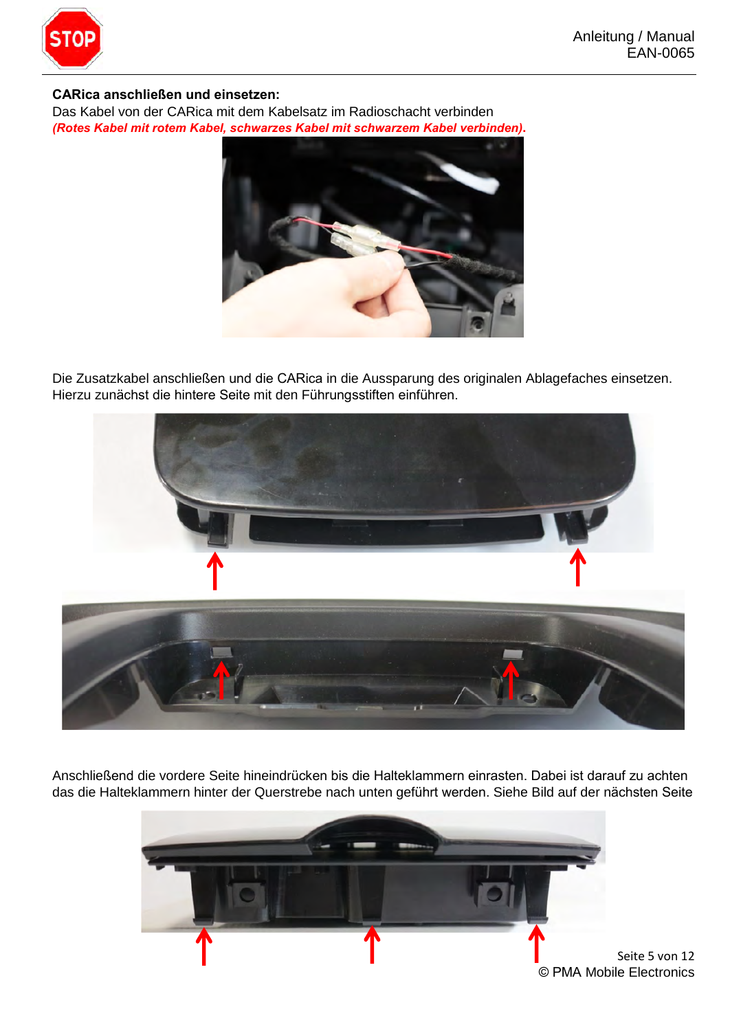

# **(Roof)**<br> **CARica anschließen und einsetzen:**<br> **CARica anschließen und einsetzen:**

Das Kabel von der CARica mit dem Kabelsatz im Radioschacht verbinden (Rotes Kabel mit rotem Kabel, schwarzes Kabel mit schwarzem Kabel verbinden).



Die Zusatzkabel anschlieflen und die CARica in die Aussparung des originalen Ablagefaches einsetzen. .<br>Die Zusatzkabel anschließen und die CARica in die Aussparung des orig<br>Hierzu zunächst die hintere Seite mit den Führungsstiften einführen.



Anschließend die vordere Seite hineindrücken bis die Halteklammern einrasten. Dabei ist darauf zu achten das die Halteklammern hinter der Querstrebe nach unten geführt werden. Siehe Bild auf der nächsten Seite

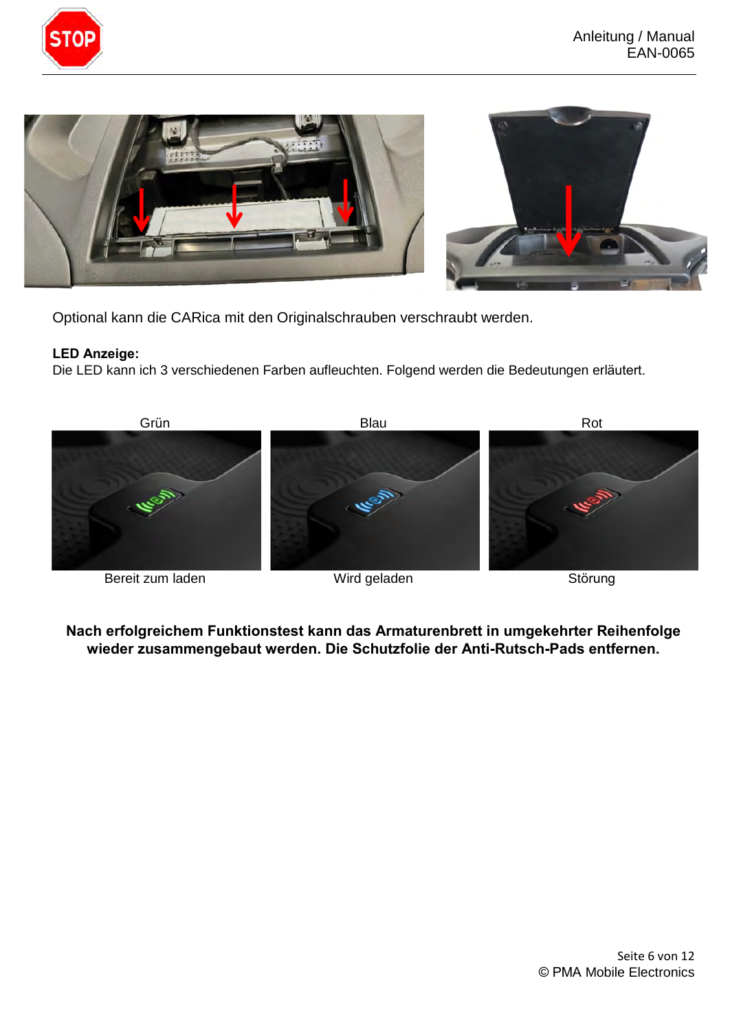





Optional kann die CARica mit den Originalschrauben verschraubt werden.

LED Anzeige:<br>Die LED kann ich 3 verschiedenen Farben aufleuchten. Folgend werden die Bedeutungen erläutert.



Nach erfolgreichem Funktionstest kann das Armaturenbrett in umgekehrter Reihenfolge wieder zusammengebaut werden. Die Schutzfolie der Anti-Rutsch-Pads entfernen.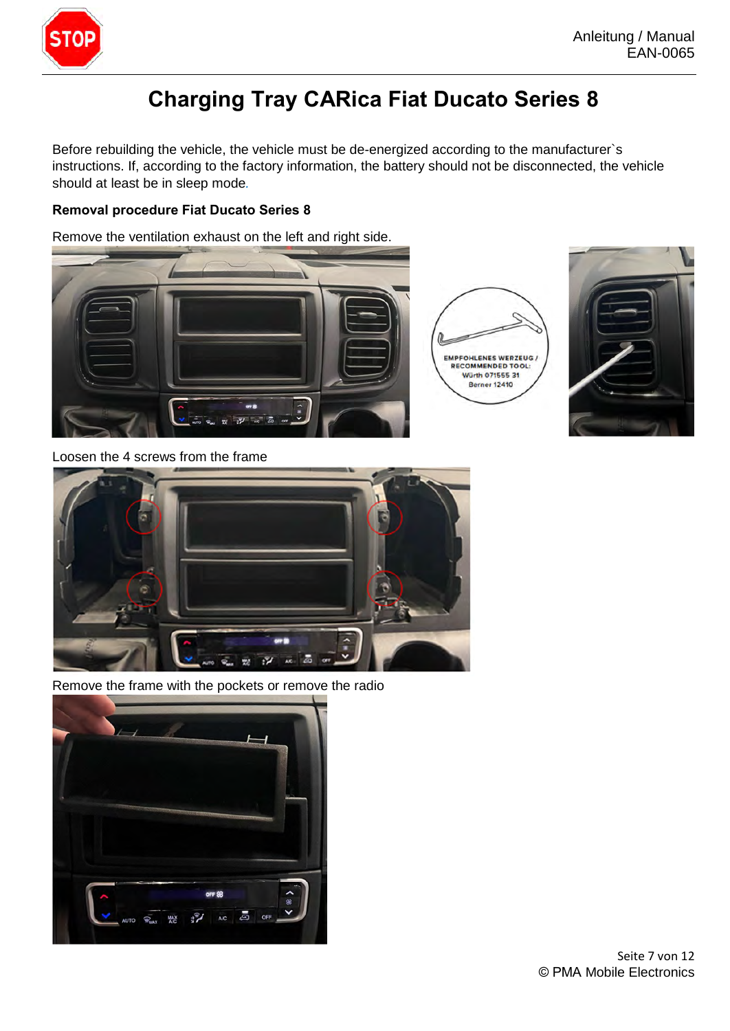

Before rebuilding the vehicle, the vehicle must be de-energized according to the manufacturer`s instructions. If, according to the factory information, the battery should not be disconnected, the vehicle **Charging Tray CARica Fiat Ducato Series 8**<br>Before rebuilding the vehicle, the vehicle must be de-energized according to the manufacture<br>instructions. If, according to the factory information, the battery should not be dis

#### **Removal procedure Fiat Ducato Series 8**

Remove the ventilation exhaust on the left and right side.







Loosen the 4 screws from the frame



Remove the frame with the pockets or remove the radio

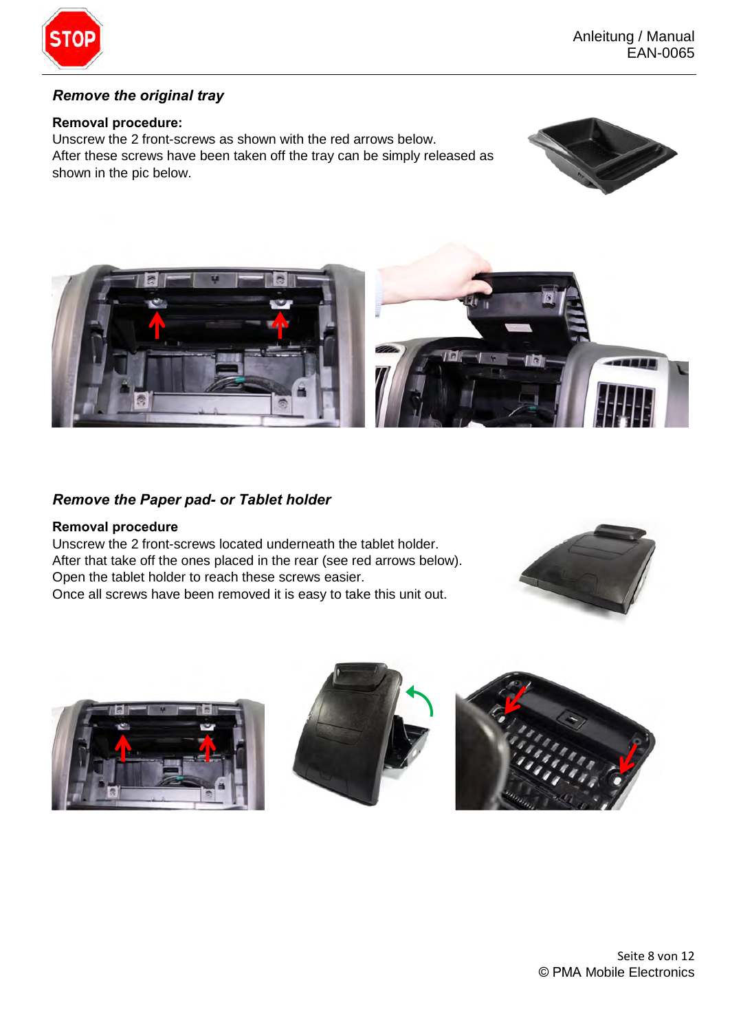

### **Remove the original tray**

#### **Removal procedure:**

Unscrew the 2 front-screws as shown with the red arrows below. After these screws have been taken off the tray can be simply released as shown in the pic below.





## **Remove the Paper pad- or Tablet holder**

#### **Removal procedure**

Unscrew the 2 front-screws located underneath the tablet holder. After that take off the ones placed in the rear (see red arrows below). Open the tablet holder to reach these screws easier. Once all screws have been removed it is easy to take this unit out.







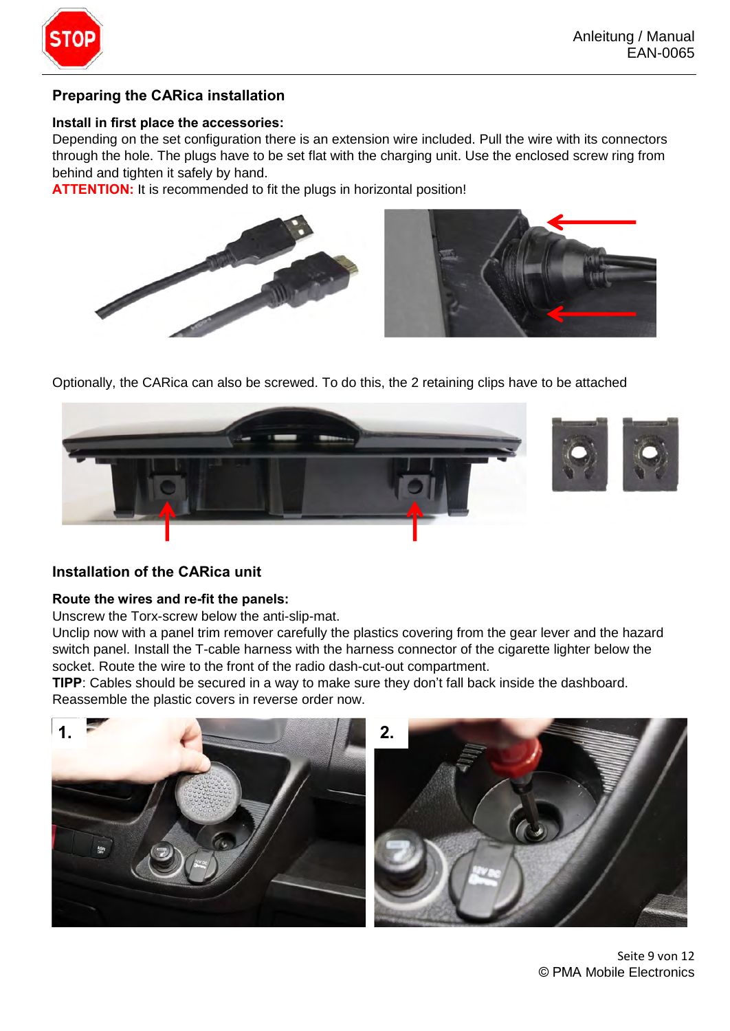

## **Preparing the CARica installation**

#### Install in first place the accessories:

Depending on the set configuration there is an extension wire included. Pull the wire with its connectors through the hole. The plugs have to be set flat with the charging unit. Use the enclosed screw ring from behind and tighten it safely by hand.

ATTENTION: It is recommended to fit the plugs in horizontal position!



Optionally, the CARica can also be screwed. To do this, the 2 retaining clips have to be attached



#### **Installation of the CARica unit**

#### Route the wires and re-fit the panels:

Unscrew the Torx-screw below the anti-slip-mat.

Unclip now with a panel trim remover carefully the plastics covering from the gear lever and the hazard switch panel. Install the T-cable harness with the harness connector of the cigarette lighter below the socket. Route the wire to the front of the radio dash-cut-out compartment.<br>**TIPP**: Cables should be secured in a way t socket. Route the wire to the front of the radio dash-cut-out compartment.

Reassemble the plastic covers in reverse order now. TIPP: Cables should be secured in a way to make sure they don't fall back inside the dashboard.



Seite 9 von 12 © PMA Mobile Electronics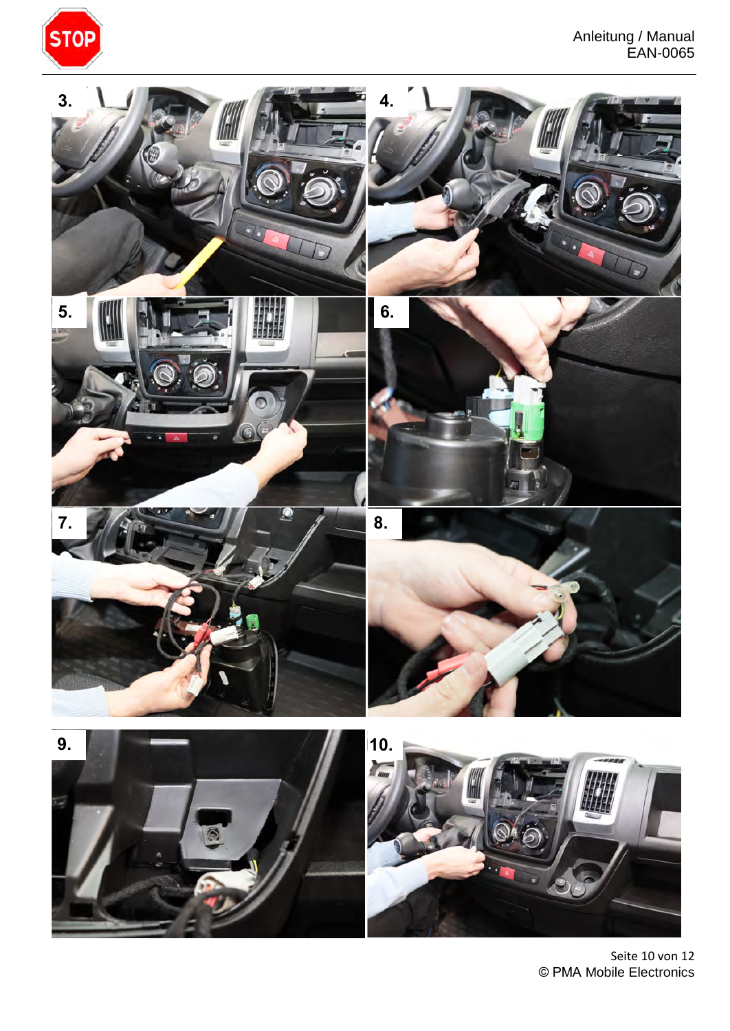



Seite 10 von 12 © PMA Mobile Electronics

© PMA

 $\mathcal{L}$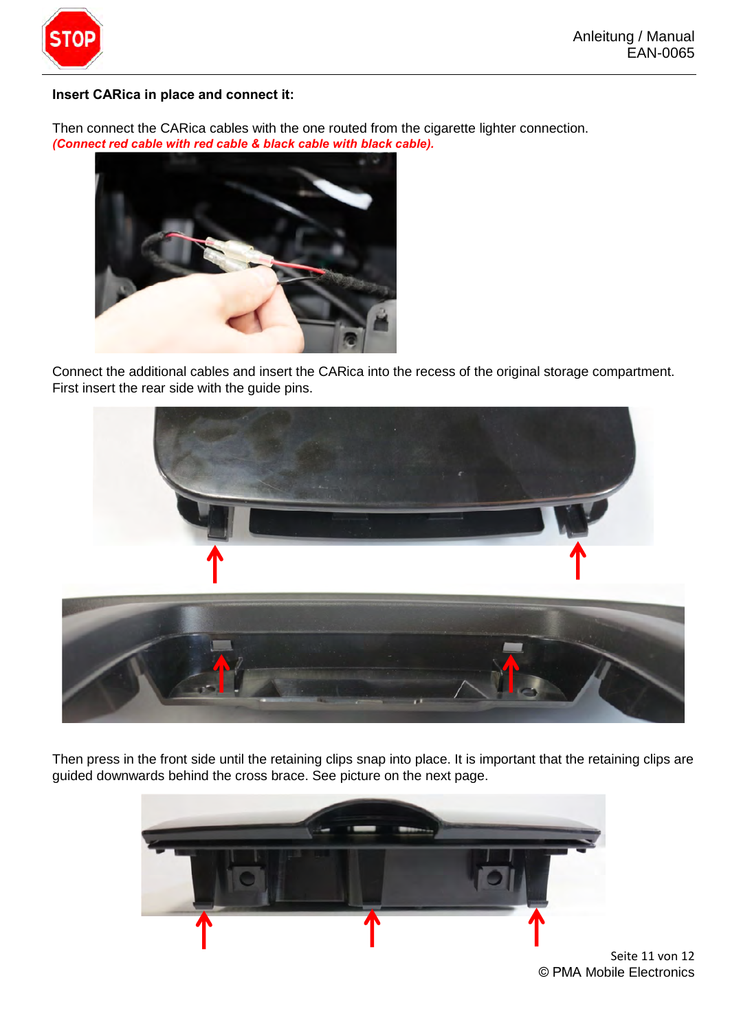

#### **Insert CARica in place and connect it:**

Then connect the CARica cables with the one routed from the cigarette lighter connection.<br>(Connect red cable with red cable & black cable with black cable).



Connect the additional cables and insert the CARica into the recess of the original storage compartment. First insert the rear side with the guide pins.



Then press in the front side until the retaining clips snap into place. It is important that the retaining clips are guided downwards behind the cross brace. See picture on the next page.